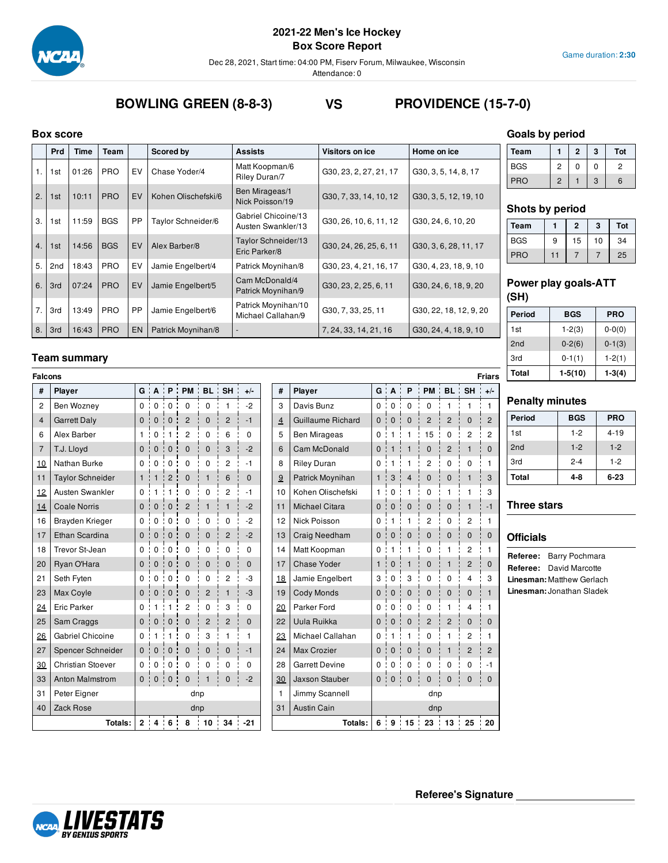

**Box Score Report**

Dec 28, 2021, Start time: 04:00 PM, Fiserv Forum, Milwaukee, Wisconsin

Attendance: 0

# **BOWLING GREEN (8-8-3) VS PROVIDENCE (15-7-0)**

#### **Box score**

|    | <b>Prd</b> | Time  | Team       |           | Scored by           | <b>Assists</b>                            | <b>Visitors on ice</b> | Home on ice            |
|----|------------|-------|------------|-----------|---------------------|-------------------------------------------|------------------------|------------------------|
| 1. | 1st        | 01:26 | <b>PRO</b> | EV        | Chase Yoder/4       | Matt Koopman/6<br>Riley Duran/7           | G30, 23, 2, 27, 21, 17 | G30, 3, 5, 14, 8, 17   |
| 2. | 1st        | 10:11 | <b>PRO</b> | EV        | Kohen Olischefski/6 | Ben Mirageas/1<br>Nick Poisson/19         | G30, 7, 33, 14, 10, 12 | G30, 3, 5, 12, 19, 10  |
| 3. | 1st        | 11:59 | <b>BGS</b> | PP        | Taylor Schneider/6  | Gabriel Chicoine/13<br>Austen Swankler/13 | G30, 26, 10, 6, 11, 12 | G30, 24, 6, 10, 20     |
| 4. | 1st        | 14:56 | <b>BGS</b> | EV        | Alex Barber/8       | Taylor Schneider/13<br>Eric Parker/8      | G30, 24, 26, 25, 6, 11 | G30, 3, 6, 28, 11, 17  |
| 5. | 2nd        | 18:43 | <b>PRO</b> | EV        | Jamie Engelbert/4   | Patrick Moynihan/8                        | G30, 23, 4, 21, 16, 17 | G30, 4, 23, 18, 9, 10  |
| 6. | 3rd        | 07:24 | <b>PRO</b> | EV        | Jamie Engelbert/5   | Cam McDonald/4<br>Patrick Moynihan/9      | G30, 23, 2, 25, 6, 11  | G30, 24, 6, 18, 9, 20  |
| 7. | 3rd        | 13:49 | <b>PRO</b> | PP        | Jamie Engelbert/6   | Patrick Moynihan/10<br>Michael Callahan/9 | G30, 7, 33, 25, 11     | G30, 22, 18, 12, 9, 20 |
| 8. | 3rd        | 16:43 | <b>PRO</b> | <b>EN</b> | Patrick Moynihan/8  |                                           | 7, 24, 33, 14, 21, 16  | G30, 24, 4, 18, 9, 10  |

## **Team summary**

| <b>Falcons</b> |                          |              |              |                   |                                                         |                |                |              |                |                       |              |                               |                  |                                  |                |                | <b>Friars</b>  |
|----------------|--------------------------|--------------|--------------|-------------------|---------------------------------------------------------|----------------|----------------|--------------|----------------|-----------------------|--------------|-------------------------------|------------------|----------------------------------|----------------|----------------|----------------|
| #              | Player                   |              |              |                   | $G$ $A$ $P$ $P$ $M$ $B$ $L$ $T$                         |                | SH :           | $+/-$        | #              | Player                |              |                               |                  | $G$ $A$ $P$ $PM$ $BL$ $SH$ $+/-$ |                |                |                |
| $\overline{2}$ | Ben Wozney               | 0:           | 0            | $\mathbf 0$       | ÷<br>$\mathbf 0$                                        | $\mathbf 0$    | 1              | $-2$         | 3              | Davis Bunz            |              | 0:0                           | ÷<br>$\mathbf 0$ | $\blacksquare$<br>$\mathbf 0$    | $\mathbf{1}$   | 1              | $\overline{1}$ |
| $\overline{4}$ | <b>Garrett Daly</b>      | 0:           | $\mathbf{0}$ | $\mathbf 0$<br>т  | $\overline{2}$<br>$\begin{array}{c} \hline \end{array}$ | $\mathbf 0$    | $\overline{2}$ | $-1$         | $\overline{4}$ | Guillaume Richard     | $\mathbf{0}$ | $\Omega$                      | $\mathbf{0}$     | $\overline{2}$                   | $\overline{2}$ | $\Omega$       | $\overline{2}$ |
| 6              | Alex Barber              | 1.           | $\mathbf 0$  | 1                 | 2                                                       | 0              | 6              | $\Omega$     | 5              | <b>Ben Mirageas</b>   | 0            | -1                            | 1                | 15                               | 0              | $\overline{2}$ | $\overline{2}$ |
| $\overline{7}$ | T.J. Lloyd               | 0:           | $\mathbf{0}$ | $\mathbf{0}$      | $\mathbf 0$                                             | 0              | 3              | $-2$         | 6              | Cam McDonald          | 0            |                               |                  | $\mathbf{0}$                     | $\overline{2}$ | 1              | $\Omega$       |
| 10             | Nathan Burke             | 0:           | $\mathbf 0$  | 0<br>÷            | 0                                                       | 0              | 2              | $-1$         | 8              | <b>Riley Duran</b>    | 0            |                               |                  | 2                                | $\mathbf 0$    | 0              | 1              |
| 11             | <b>Taylor Schneider</b>  | 1:           | 1            | $\overline{2}$    | $\mathbf 0$                                             | 1              | 6              | $\mathbf{0}$ | 9              | Patrick Moynihan      | 1:           | 3                             | $\overline{4}$   | 0                                | 0              | $\mathbf{1}$   | 3              |
| 12             | <b>Austen Swankler</b>   | $^{\circ}$   | -1           |                   | 0                                                       | 0              | 2              | $-1$         | 10             | Kohen Olischefski     | 1:           | $\mathbf{0}$                  | 1                | 0                                | $\mathbf{1}$   | 1              | 3              |
| 14             | <b>Coale Norris</b>      | 0            | $\mathbf{0}$ | $\mathbf{0}$<br>÷ | $\overline{2}$                                          | 1              | 1              | $-2$         | 11             | <b>Michael Citara</b> | 0            | $\mathbf{0}$                  | $\mathbf 0$      | $\mathbf 0$                      | 0              |                | $-1$           |
| 16             | <b>Brayden Krieger</b>   | 0:           | $\mathbf 0$  | $\mathbf 0$       | $\mathbf 0$                                             | 0              | $\Omega$       | $-2$         | 12             | Nick Poisson          | 0            | -1                            |                  | $\overline{2}$                   | $\mathbf 0$    | $\overline{c}$ | $\mathbf{1}$   |
| 17             | Ethan Scardina           | $\mathbf{0}$ | $\mathbf{0}$ | ÷<br>$\mathbf 0$  | $\mathbf 0$<br><b>I</b>                                 | 0              | $\overline{c}$ | $-2$         | 13             | Craig Needham         | $\mathbf{0}$ | $\mathbf 0$                   | $\mathbf 0$      | $\mathbf 0$                      | $\mathbf 0$    | $\mathbf{0}$   | $\mathbf{0}$   |
| 18             | Trevor St-Jean           | 0            | $\mathbf 0$  | $\mathbf 0$<br>÷  | 0                                                       | 0              | 0              | $\mathbf 0$  | 14             | Matt Koopman          | 0            | -1                            | 1                | 0                                | 1              | $\overline{2}$ | 1              |
| 20             | Ryan O'Hara              | $\Omega$     | $\mathbf{0}$ | $\mathbf{0}$<br>÷ | $\mathbf 0$                                             | $\mathbf{0}$   | $\mathbf{0}$   | $\mathbf{0}$ | 17             | <b>Chase Yoder</b>    | $\mathbf{1}$ | $\mathbf{0}$                  | $\mathbf{1}$     | $\mathbf{0}$                     | $\mathbf{1}$   | $\overline{2}$ | $\Omega$       |
| 21             | Seth Fyten               | 0 :          | $\Omega$     | $\mathbf 0$<br>÷  | 0                                                       | 0              | 2              | -3           | 18             | Jamie Engelbert       | 3            | $\mathbf 0$<br>$\blacksquare$ | 3                | 0                                | 0              | 4              | 3              |
| 23             | Max Coyle                | 0            | $\mathbf{0}$ | ÷<br>$\mathbf{0}$ | $\mathbf 0$                                             | $\overline{2}$ | $\mathbf{1}$   | -3           | 19             | <b>Cody Monds</b>     | $\mathbf{0}$ | $\mathbf 0$<br>p              | $\mathbf{0}$     | $\mathbf{0}$                     | 0              | $\mathbf{0}$   | 1              |
| 24             | <b>Eric Parker</b>       | 0            |              |                   | 2                                                       | $\Omega$       | 3              | $\Omega$     | 20             | Parker Ford           | 0            | $\Omega$                      | 0                | 0                                | 1              | 4              | 1              |
| 25             | Sam Craggs               | $\Omega$     | $\Omega$     | $\mathbf 0$<br>÷  | $\mathbf 0$                                             | $\overline{2}$ | $\overline{2}$ | $\mathbf 0$  | 22             | Uula Ruikka           | $\mathbf{0}$ | $\mathbf{0}$                  | $\mathbf{0}$     | $\overline{2}$                   | $\overline{2}$ | $\mathbf 0$    | $\Omega$       |
| 26             | <b>Gabriel Chicoine</b>  | 0            |              |                   | 0                                                       | 3              | 1              | 1            | 23             | Michael Callahan      | 0            | 1                             | 1                | 0                                | 1              | $\overline{c}$ | 1              |
| 27             | Spencer Schneider        | 0:           | $\mathbf{0}$ | $\mathbf{0}$<br>÷ | $\mathbf 0$                                             | $\mathbf{0}$   | $\mathbf{0}$   | $-1$         | 24             | <b>Max Crozier</b>    | 0            | $\mathbf{0}$                  | $\mathbf 0$      | $\mathbf{0}$                     | $\mathbf{1}$   | $\overline{2}$ | $\overline{2}$ |
| 30             | <b>Christian Stoever</b> | 0:           | $\mathbf 0$  | $\frac{1}{2}$ 0   | 0                                                       | 0              | 0              | $\Omega$     | 28             | <b>Garrett Devine</b> | 0 :          | $\mathbf{0}$                  | 0                | 0                                | 0              | $\mathbf 0$    | $-1$           |
| 33             | <b>Anton Malmstrom</b>   | 0:           |              | 0:0               | $\mathbf 0$                                             |                | $\mathbf{0}$   | $-2$         | 30             | Jaxson Stauber        |              | 0:0                           | $\mathbf 0$      | $\mathbf 0$                      | 0              | $\mathbf{0}$   | $\Omega$       |
| 31             | Peter Eigner             |              |              |                   | dnp                                                     |                |                |              | $\mathbf{1}$   | Jimmy Scannell        |              |                               |                  | dnp                              |                |                |                |
| 40             | Zack Rose                |              |              |                   | dnp                                                     |                |                |              | 31             | <b>Austin Cain</b>    | dnp          |                               |                  |                                  |                |                |                |
|                | Totals:                  |              |              |                   | 2:4:6:8:10                                              |                |                | $34 : -21$   |                | Totals:               |              |                               |                  | 6 9 15 23 13 25 20               |                |                |                |

| #              | Player                | l<br>G       | $\overline{A}$ | P               | PM             | <b>BL</b>      | <b>SH</b>      | $+/-$          |
|----------------|-----------------------|--------------|----------------|-----------------|----------------|----------------|----------------|----------------|
| 3              | Davis Bunz            | 0            | 0              | 0               | 0              | 1              | 1              | 1              |
| $\overline{4}$ | Guillaume Richard     | $\mathbf 0$  | $\mathbf 0$    | $\Omega$        | $\overline{2}$ | $\overline{2}$ | $\Omega$       | $\overline{2}$ |
| 5              | Ben Mirageas          | 0            | 1              | $\mathbf{1}$    | 15             | 0              | $\overline{2}$ | 2              |
| 6              | Cam McDonald          | $\Omega$     | $\overline{1}$ | $\overline{1}$  | $\mathbf 0$    | $\overline{2}$ | $\mathbf{1}$   | $\overline{0}$ |
| 8              | <b>Riley Duran</b>    | 0            | 1              | 1               | $\overline{2}$ | 0              | $\Omega$       | 1              |
| 9              | Patrick Moynihan      | $\mathbf{1}$ | 3              | $\overline{4}$  | $\mathbf 0$    | $\overline{0}$ | $\mathbf{1}$   | 3              |
| 10             | Kohen Olischefski     | 1            | 0              | 1               | $\Omega$       | 1              | 1              | 3              |
| 11             | <b>Michael Citara</b> | 0            | 0              | $\mathbf 0$     | $\mathbf{0}$   | $\Omega$       | $\mathbf{1}$   | $-1$           |
| 12             | Nick Poisson          | 0            | 1              | 1               | 2              | 0              | 2              | 1              |
| 13             | Craig Needham         | 0            | 0              | 0               | $\mathbf 0$    | $\overline{0}$ | $\mathbf{0}$   | $\mathbf 0$    |
| 14             | Matt Koopman          | 0            | 1              | 1               | 0              | 1              | 2              | $\mathbf{1}$   |
| 17             | <b>Chase Yoder</b>    | 1            | $\mathbf 0$    | $\mathbf{1}$    | $\mathbf 0$    | $\mathbf{1}$   | $\overline{2}$ | $\overline{0}$ |
| 18             | Jamie Engelbert       | 3            | 0              | 3               | 0              | 0              | 4              | 3              |
| 19             | <b>Cody Monds</b>     | $\mathbf 0$  | $\overline{0}$ | $\Omega$        | $\mathbf 0$    | $\Omega$       | $\mathbf 0$    | $\mathbf{1}$   |
| <u> 20</u>     | Parker Ford           | 0            | 0              | 0               | $\Omega$       | 1              | 4              | 1              |
| 22             | Uula Ruikka           | $\mathbf 0$  | $\mathbf{0}$   | 0               | $\overline{2}$ | $\overline{2}$ | $\mathbf 0$    | $\mathbf 0$    |
| 23             | Michael Callahan      | 0            | 1              | 1               | 0              | 1              | 2              | 1              |
| 24             | <b>Max Crozier</b>    | $\mathbf 0$  | $\mathbf 0$    | $\mathbf 0$     | $\mathbf 0$    | $\mathbf{1}$   | $\overline{2}$ | $\overline{2}$ |
| 28             | <b>Garrett Devine</b> | 0            | 0              | 0               | 0              | 0              | 0              | -1             |
| 30             | <b>Jaxson Stauber</b> | $\mathbf 0$  | $\mathbf 0$    | 0               | $\mathbf 0$    | $\Omega$       | $\mathbf{0}$   | $\mathbf 0$    |
| 1              | Jimmy Scannell        |              |                |                 | dnp            |                |                |                |
| 31             | <b>Austin Cain</b>    |              |                |                 | dnp            |                |                |                |
|                | Totals:               | 6            | 9 <sup>1</sup> | 15 <sup>1</sup> | 23             | 13             | 25             | 20             |

### **Goals by period**

| Team       |   | 2 | 3 | Tot |
|------------|---|---|---|-----|
| <b>BGS</b> | 2 | 0 | 0 | 2   |
| <b>PRO</b> | 2 |   | 3 | 6   |

#### **Shots by period**

| Team       |    | $\mathbf{2}$ | 3  | Tot |
|------------|----|--------------|----|-----|
| <b>BGS</b> | 9  | 15           | 10 | 34  |
| <b>PRO</b> | 11 |              |    | 25  |

### **Power play goals-ATT (SH)**

| Period | BGS        | PRO        |
|--------|------------|------------|
| 1st    | $1 - 2(3)$ | $0 - 0(0)$ |
| 2nd    | $0 - 2(6)$ | $0-1(3)$   |
| 3rd    | $0-1(1)$   | $1-2(1)$   |
| Total  | $1-5(10)$  | $1-3(4)$   |

#### **Penalty minutes**

| Period          | <b>BGS</b> | <b>PRO</b> |
|-----------------|------------|------------|
| 1st             | $1-2$      | $4 - 19$   |
| 2 <sub>nd</sub> | $1 - 2$    | $1 - 2$    |
| 3rd             | $2 - 4$    | $1-2$      |
| Total           | 4-8        | 6-23       |

## **Three stars**

### **Officials**

**Referee:** Barry Pochmara **Referee:** David Marcotte **Linesman:** Matthew Gerlach **Linesman:**Jonathan Sladek

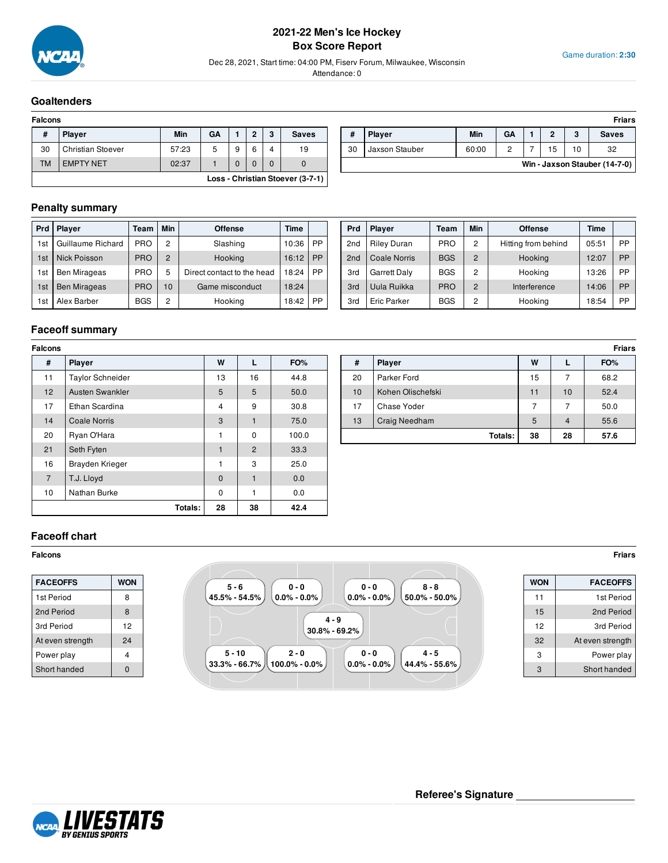

### **2021-22 Men's Ice Hockey Box Score Report**

Dec 28, 2021, Start time: 04:00 PM, Fiserv Forum, Milwaukee, Wisconsin

Attendance: 0

#### Game duration: **2:30**

#### **Goaltenders**

| <b>Falcons</b> |                                  |       |    |   |   |   |              |  |  |  |  |  |
|----------------|----------------------------------|-------|----|---|---|---|--------------|--|--|--|--|--|
| #              | <b>Player</b>                    | Min   | GA |   | ົ | 3 | <b>Saves</b> |  |  |  |  |  |
| 30             | <b>Christian Stoever</b>         | 57:23 | 5  | 9 | 6 | 4 | 19           |  |  |  |  |  |
| <b>TM</b>      | <b>EMPTY NET</b>                 | 02:37 |    |   |   |   |              |  |  |  |  |  |
|                | Loss - Christian Stoever (3-7-1) |       |    |   |   |   |              |  |  |  |  |  |

| Falcons   |                          |            |    |   |   |               |              |    |                |       |           |   |    | <b>Friars</b>                 |
|-----------|--------------------------|------------|----|---|---|---------------|--------------|----|----------------|-------|-----------|---|----|-------------------------------|
| -44<br>н  | <b>Player</b>            | <b>Min</b> | GA |   | ∩ | $\cdot$<br>., | <b>Saves</b> |    | <b>Player</b>  | Min   | <b>GA</b> |   |    | Saves                         |
| 30        | <b>Christian Stoever</b> | 57:23      | w  | 9 |   |               | 19           | 30 | Jaxson Stauber | 60:00 |           | ◡ | 10 | 32                            |
| <b>TM</b> | <b>EMPTY NET</b>         | 02:37      |    |   |   |               |              |    |                |       |           |   |    | Win - Jaxson Stauber (14-7-0) |

### **Penalty summary**

| Prd             | <b>Player</b>       | Min<br><b>Offense</b><br>Team |                | Time                       |       |    |
|-----------------|---------------------|-------------------------------|----------------|----------------------------|-------|----|
| 1st             | Guillaume Richard   | <b>PRO</b>                    | 2              | Slashing                   | 10:36 | PP |
| 1 <sub>st</sub> | <b>Nick Poisson</b> | <b>PRO</b>                    | 2              | Hooking                    | 16:12 | PP |
| 1st             | <b>Ben Mirageas</b> | <b>PRO</b>                    | 5              | Direct contact to the head | 18:24 | РP |
| 1st             | <b>Ben Mirageas</b> | <b>PRO</b>                    | 10             | Game misconduct            | 18:24 |    |
| 1st             | Alex Barber         | <b>BGS</b>                    | $\overline{2}$ | Hooking                    | 18:42 | РP |

| Prd             | <b>Player</b>       | Team       | <b>Min</b>     | <b>Offense</b>      | Time  |           |
|-----------------|---------------------|------------|----------------|---------------------|-------|-----------|
| 2 <sub>nd</sub> | <b>Riley Duran</b>  | <b>PRO</b> | 2              | Hitting from behind | 05:51 | PP        |
| 2 <sub>nd</sub> | Coale Norris        | <b>BGS</b> | $\overline{2}$ | Hooking             | 12:07 | <b>PP</b> |
| 3rd             | <b>Garrett Daly</b> | <b>BGS</b> | $\overline{2}$ | Hooking             | 13:26 | РP        |
| 3rd             | Uula Ruikka         | <b>PRO</b> | $\overline{2}$ | Interference        | 14:06 | PP        |
| 3rd             | Eric Parker         | <b>BGS</b> | 2              | Hooking             | 18:54 | РP        |

## **Faceoff summary**

| <b>Falcons</b> |                         |                |                |       |
|----------------|-------------------------|----------------|----------------|-------|
| #              | <b>Player</b>           | W              | L              | FO%   |
| 11             | <b>Taylor Schneider</b> | 13             | 16             | 44.8  |
| 12             | <b>Austen Swankler</b>  | 5              | 5              | 50.0  |
| 17             | Ethan Scardina          | $\overline{4}$ | 9              | 30.8  |
| 14             | <b>Coale Norris</b>     | 3              | 1              | 75.0  |
| 20             | Ryan O'Hara             | 1              | 0              | 100.0 |
| 21             | Seth Fyten              | 1              | $\overline{2}$ | 33.3  |
| 16             | Brayden Krieger         | 1              | 3              | 25.0  |
| $\overline{7}$ | T.J. Lloyd              | $\mathbf{0}$   | $\mathbf{1}$   | 0.0   |
| 10             | Nathan Burke            | $\mathbf 0$    | 1              | 0.0   |
|                | Totals:                 | 28             | 38             | 42.4  |

| Falcons | <b>Friars</b>           |    |    |       |  |    |                   |    |    |      |  |  |
|---------|-------------------------|----|----|-------|--|----|-------------------|----|----|------|--|--|
| #       | <b>Player</b>           | W  |    | FO%   |  | #  | <b>Player</b>     | W  | ┗  | FO%  |  |  |
| 11      | <b>Taylor Schneider</b> | 13 | 16 | 44.8  |  | 20 | Parker Ford       | 15 |    | 68.2 |  |  |
| 12      | Austen Swankler         | 5  | 5  | 50.0  |  | 10 | Kohen Olischefski |    | 10 | 52.4 |  |  |
| 17      | Ethan Scardina          |    | 9  | 30.8  |  | 17 | Chase Yoder       |    |    | 50.0 |  |  |
| 14      | Coale Norris            | 3  |    | 75.0  |  | 13 | Craig Needham     |    | 4  | 55.6 |  |  |
| 20      | Ryan O'Hara             |    | 0  | 100.0 |  |    | Totals:           | 38 | 28 | 57.6 |  |  |

#### **Faceoff chart**

| <b>FACEOFFS</b>  | <b>WON</b> |
|------------------|------------|
| 1st Period       | 8          |
| 2nd Period       | 8          |
| 3rd Period       | 12         |
| At even strength | 24         |
| Power play       | 4          |
| Short handed     | n          |



| <b>WON</b> | <b>FACEOFFS</b>  |
|------------|------------------|
| 11         | 1st Period       |
| 15         | 2nd Period       |
| 12         | 3rd Period       |
| 32         | At even strength |
| 3          | Power play       |
| 3          | Short handed     |